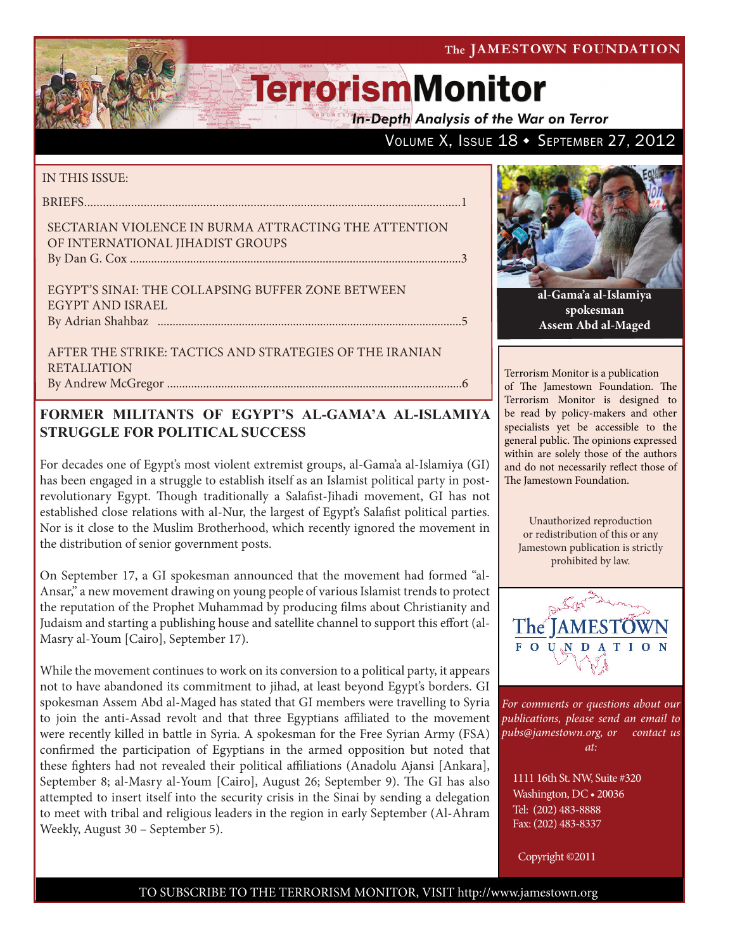**In-Depth Analysis of the War on Terror** 

## VOLUME X, ISSUE 18 + SEPTEMBER 27, 2012

#### IN THIS ISSUE:

briefs........................................................................................................................1

#### Sectarian Violence in Burma Attracting the Attention of International Jihadist Groups By Dan G. Cox ..............................................................................................................3

Egypt's Sinai: The Collapsing Buffer Zone between Egypt and Israel by Adrian Shahbaz .....................................................................................................5

After the Strike: Tactics and Strategies of the Iranian **RETALIATION** By Andrew McGregor ..................................................................................................6

## **FORMER MILITANTS OF EGYPT'S AL-GAMA'A AL-ISLAMIYA STRUGGLE FOR POLITICAL SUCCESS**

For decades one of Egypt's most violent extremist groups, al-Gama'a al-Islamiya (GI) has been engaged in a struggle to establish itself as an Islamist political party in postrevolutionary Egypt. Though traditionally a Salafist-Jihadi movement, GI has not established close relations with al-Nur, the largest of Egypt's Salafist political parties. Nor is it close to the Muslim Brotherhood, which recently ignored the movement in the distribution of senior government posts.

On September 17, a GI spokesman announced that the movement had formed "al-Ansar," a new movement drawing on young people of various Islamist trends to protect the reputation of the Prophet Muhammad by producing films about Christianity and Judaism and starting a publishing house and satellite channel to support this effort (al-Masry al-Youm [Cairo], September 17).

While the movement continues to work on its conversion to a political party, it appears not to have abandoned its commitment to jihad, at least beyond Egypt's borders. GI spokesman Assem Abd al-Maged has stated that GI members were travelling to Syria to join the anti-Assad revolt and that three Egyptians affiliated to the movement were recently killed in battle in Syria. A spokesman for the Free Syrian Army (FSA) confirmed the participation of Egyptians in the armed opposition but noted that these fighters had not revealed their political affiliations (Anadolu Ajansi [Ankara], September 8; al-Masry al-Youm [Cairo], August 26; September 9). The GI has also attempted to insert itself into the security crisis in the Sinai by sending a delegation to meet with tribal and religious leaders in the region in early September (Al-Ahram Weekly, August 30 – September 5).



**al-Gama'a al-Islamiya spokesman Assem Abd al-Maged**

Terrorism Monitor is a publication of The Jamestown Foundation. The Terrorism Monitor is designed to be read by policy-makers and other specialists yet be accessible to the general public. The opinions expressed within are solely those of the authors and do not necessarily reflect those of The Jamestown Foundation.

Unauthorized reproduction or redistribution of this or any Jamestown publication is strictly prohibited by law.



*For comments or questions about our publications, please send an email to pubs@jamestown.org, or contact us at:* 

1111 16th St. NW, Suite #320 Washington, DC • 20036 Tel: (202) 483-8888 Fax: (202) 483-8337

Copyright ©2011

### TO SUBSCRIBE TO THE TERRORISM MONITOR, VISIT http://www.jamestown.org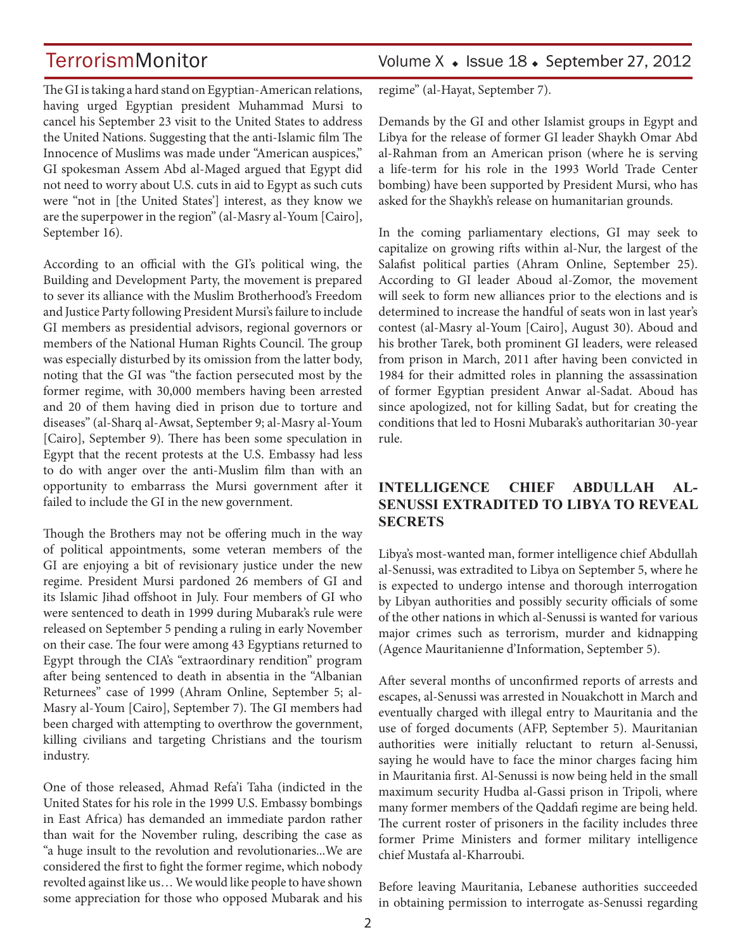The GI is taking a hard stand on Egyptian-American relations, having urged Egyptian president Muhammad Mursi to cancel his September 23 visit to the United States to address the United Nations. Suggesting that the anti-Islamic film The Innocence of Muslims was made under "American auspices," GI spokesman Assem Abd al-Maged argued that Egypt did not need to worry about U.S. cuts in aid to Egypt as such cuts were "not in [the United States'] interest, as they know we are the superpower in the region" (al-Masry al-Youm [Cairo], September 16).

According to an official with the GI's political wing, the Building and Development Party, the movement is prepared to sever its alliance with the Muslim Brotherhood's Freedom and Justice Party following President Mursi's failure to include GI members as presidential advisors, regional governors or members of the National Human Rights Council. The group was especially disturbed by its omission from the latter body, noting that the GI was "the faction persecuted most by the former regime, with 30,000 members having been arrested and 20 of them having died in prison due to torture and diseases" (al-Sharq al-Awsat, September 9; al-Masry al-Youm [Cairo], September 9). There has been some speculation in Egypt that the recent protests at the U.S. Embassy had less to do with anger over the anti-Muslim film than with an opportunity to embarrass the Mursi government after it failed to include the GI in the new government.

Though the Brothers may not be offering much in the way of political appointments, some veteran members of the GI are enjoying a bit of revisionary justice under the new regime. President Mursi pardoned 26 members of GI and its Islamic Jihad offshoot in July. Four members of GI who were sentenced to death in 1999 during Mubarak's rule were released on September 5 pending a ruling in early November on their case. The four were among 43 Egyptians returned to Egypt through the CIA's "extraordinary rendition" program after being sentenced to death in absentia in the "Albanian Returnees" case of 1999 (Ahram Online, September 5; al-Masry al-Youm [Cairo], September 7). The GI members had been charged with attempting to overthrow the government, killing civilians and targeting Christians and the tourism industry.

One of those released, Ahmad Refa'i Taha (indicted in the United States for his role in the 1999 U.S. Embassy bombings in East Africa) has demanded an immediate pardon rather than wait for the November ruling, describing the case as "a huge insult to the revolution and revolutionaries...We are considered the first to fight the former regime, which nobody revolted against like us… We would like people to have shown some appreciation for those who opposed Mubarak and his

## TerrorismMonitor Volume X • Issue 18 • September 27, 2012

regime" (al-Hayat, September 7).

Demands by the GI and other Islamist groups in Egypt and Libya for the release of former GI leader Shaykh Omar Abd al-Rahman from an American prison (where he is serving a life-term for his role in the 1993 World Trade Center bombing) have been supported by President Mursi, who has asked for the Shaykh's release on humanitarian grounds.

In the coming parliamentary elections, GI may seek to capitalize on growing rifts within al-Nur, the largest of the Salafist political parties (Ahram Online, September 25). According to GI leader Aboud al-Zomor, the movement will seek to form new alliances prior to the elections and is determined to increase the handful of seats won in last year's contest (al-Masry al-Youm [Cairo], August 30). Aboud and his brother Tarek, both prominent GI leaders, were released from prison in March, 2011 after having been convicted in 1984 for their admitted roles in planning the assassination of former Egyptian president Anwar al-Sadat. Aboud has since apologized, not for killing Sadat, but for creating the conditions that led to Hosni Mubarak's authoritarian 30-year rule.

## **INTELLIGENCE CHIEF ABDULLAH AL-SENUSSI EXTRADITED TO LIBYA TO REVEAL SECRETS**

Libya's most-wanted man, former intelligence chief Abdullah al-Senussi, was extradited to Libya on September 5, where he is expected to undergo intense and thorough interrogation by Libyan authorities and possibly security officials of some of the other nations in which al-Senussi is wanted for various major crimes such as terrorism, murder and kidnapping (Agence Mauritanienne d'Information, September 5).

After several months of unconfirmed reports of arrests and escapes, al-Senussi was arrested in Nouakchott in March and eventually charged with illegal entry to Mauritania and the use of forged documents (AFP, September 5). Mauritanian authorities were initially reluctant to return al-Senussi, saying he would have to face the minor charges facing him in Mauritania first. Al-Senussi is now being held in the small maximum security Hudba al-Gassi prison in Tripoli, where many former members of the Qaddafi regime are being held. The current roster of prisoners in the facility includes three former Prime Ministers and former military intelligence chief Mustafa al-Kharroubi.

Before leaving Mauritania, Lebanese authorities succeeded in obtaining permission to interrogate as-Senussi regarding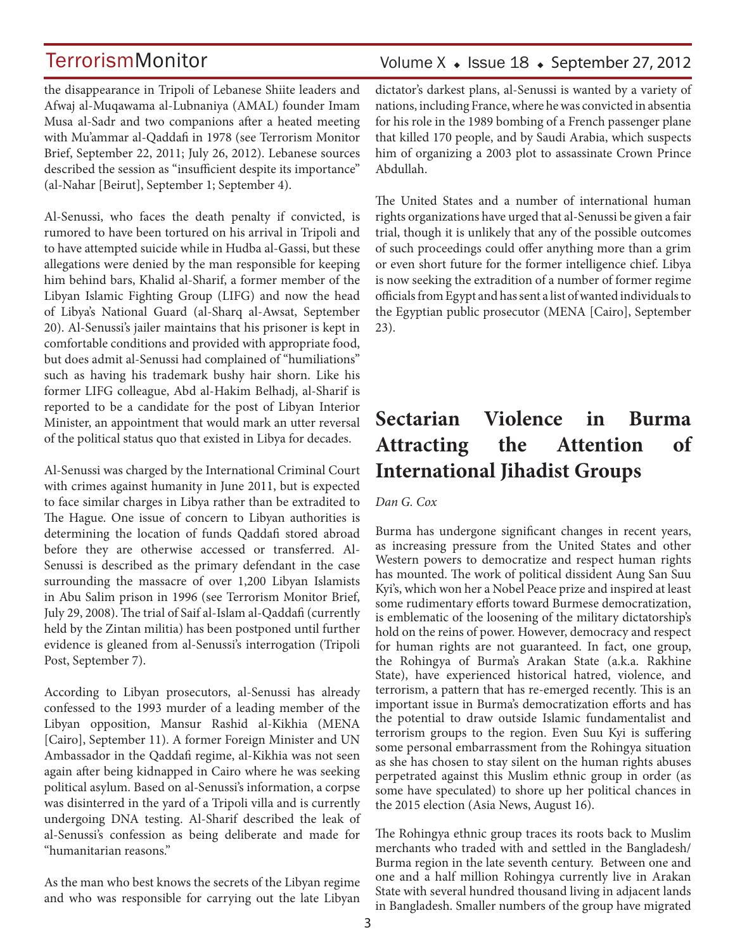the disappearance in Tripoli of Lebanese Shiite leaders and Afwaj al-Muqawama al-Lubnaniya (AMAL) founder Imam Musa al-Sadr and two companions after a heated meeting with Mu'ammar al-Qaddafi in 1978 (see Terrorism Monitor Brief, September 22, 2011; July 26, 2012). Lebanese sources described the session as "insufficient despite its importance" (al-Nahar [Beirut], September 1; September 4).

Al-Senussi, who faces the death penalty if convicted, is rumored to have been tortured on his arrival in Tripoli and to have attempted suicide while in Hudba al-Gassi, but these allegations were denied by the man responsible for keeping him behind bars, Khalid al-Sharif, a former member of the Libyan Islamic Fighting Group (LIFG) and now the head of Libya's National Guard (al-Sharq al-Awsat, September 20). Al-Senussi's jailer maintains that his prisoner is kept in comfortable conditions and provided with appropriate food, but does admit al-Senussi had complained of "humiliations" such as having his trademark bushy hair shorn. Like his former LIFG colleague, Abd al-Hakim Belhadj, al-Sharif is reported to be a candidate for the post of Libyan Interior Minister, an appointment that would mark an utter reversal of the political status quo that existed in Libya for decades.

Al-Senussi was charged by the International Criminal Court with crimes against humanity in June 2011, but is expected to face similar charges in Libya rather than be extradited to The Hague. One issue of concern to Libyan authorities is determining the location of funds Qaddafi stored abroad before they are otherwise accessed or transferred. Al-Senussi is described as the primary defendant in the case surrounding the massacre of over 1,200 Libyan Islamists in Abu Salim prison in 1996 (see Terrorism Monitor Brief, July 29, 2008). The trial of Saif al-Islam al-Qaddafi (currently held by the Zintan militia) has been postponed until further evidence is gleaned from al-Senussi's interrogation (Tripoli Post, September 7).

According to Libyan prosecutors, al-Senussi has already confessed to the 1993 murder of a leading member of the Libyan opposition, Mansur Rashid al-Kikhia (MENA [Cairo], September 11). A former Foreign Minister and UN Ambassador in the Qaddafi regime, al-Kikhia was not seen again after being kidnapped in Cairo where he was seeking political asylum. Based on al-Senussi's information, a corpse was disinterred in the yard of a Tripoli villa and is currently undergoing DNA testing. Al-Sharif described the leak of al-Senussi's confession as being deliberate and made for "humanitarian reasons."

As the man who best knows the secrets of the Libyan regime and who was responsible for carrying out the late Libyan

## Volume  $X \triangleleft$  Issue 18  $\triangleleft$  September 27, 2012

dictator's darkest plans, al-Senussi is wanted by a variety of nations, including France, where he was convicted in absentia for his role in the 1989 bombing of a French passenger plane that killed 170 people, and by Saudi Arabia, which suspects him of organizing a 2003 plot to assassinate Crown Prince Abdullah.

The United States and a number of international human rights organizations have urged that al-Senussi be given a fair trial, though it is unlikely that any of the possible outcomes of such proceedings could offer anything more than a grim or even short future for the former intelligence chief. Libya is now seeking the extradition of a number of former regime officials from Egypt and has sent a list of wanted individuals to the Egyptian public prosecutor (MENA [Cairo], September 23).

## **Sectarian Violence in Burma Attracting the Attention of International Jihadist Groups**

#### *Dan G. Cox*

Burma has undergone significant changes in recent years, as increasing pressure from the United States and other Western powers to democratize and respect human rights has mounted. The work of political dissident Aung San Suu Kyi's, which won her a Nobel Peace prize and inspired at least some rudimentary efforts toward Burmese democratization, is emblematic of the loosening of the military dictatorship's hold on the reins of power. However, democracy and respect for human rights are not guaranteed. In fact, one group, the Rohingya of Burma's Arakan State (a.k.a. Rakhine State), have experienced historical hatred, violence, and terrorism, a pattern that has re-emerged recently. This is an important issue in Burma's democratization efforts and has the potential to draw outside Islamic fundamentalist and terrorism groups to the region. Even Suu Kyi is suffering some personal embarrassment from the Rohingya situation as she has chosen to stay silent on the human rights abuses perpetrated against this Muslim ethnic group in order (as some have speculated) to shore up her political chances in the 2015 election (Asia News, August 16).

The Rohingya ethnic group traces its roots back to Muslim merchants who traded with and settled in the Bangladesh/ Burma region in the late seventh century. Between one and one and a half million Rohingya currently live in Arakan State with several hundred thousand living in adjacent lands in Bangladesh. Smaller numbers of the group have migrated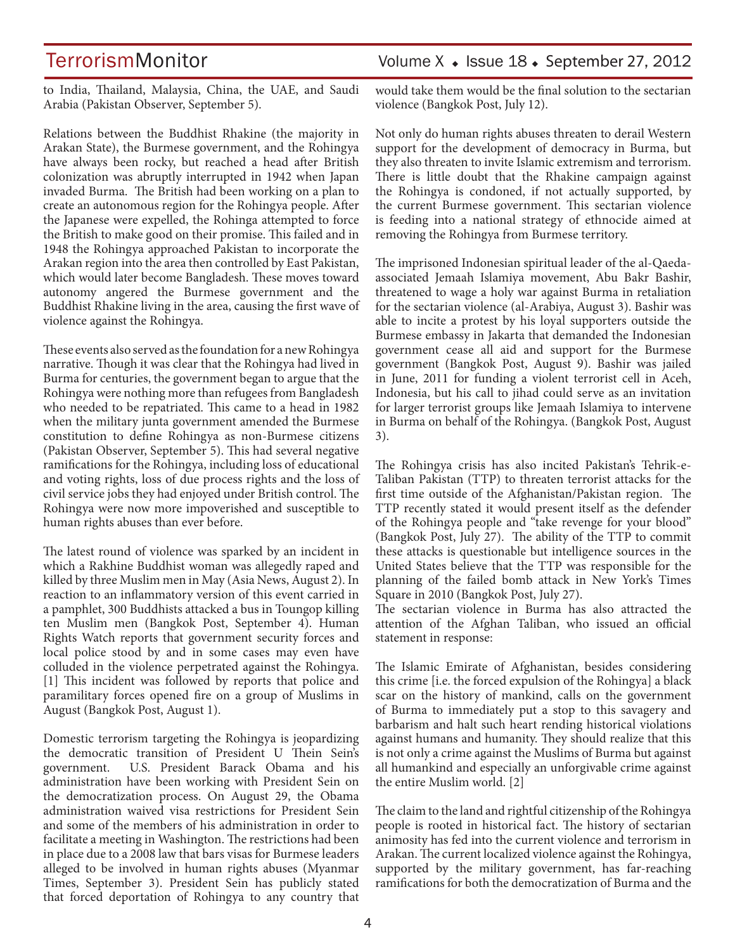to India, Thailand, Malaysia, China, the UAE, and Saudi Arabia (Pakistan Observer, September 5).

Relations between the Buddhist Rhakine (the majority in Arakan State), the Burmese government, and the Rohingya have always been rocky, but reached a head after British colonization was abruptly interrupted in 1942 when Japan invaded Burma. The British had been working on a plan to create an autonomous region for the Rohingya people. After the Japanese were expelled, the Rohinga attempted to force the British to make good on their promise. This failed and in 1948 the Rohingya approached Pakistan to incorporate the Arakan region into the area then controlled by East Pakistan, which would later become Bangladesh. These moves toward autonomy angered the Burmese government and the Buddhist Rhakine living in the area, causing the first wave of violence against the Rohingya.

These events also served as the foundation for a new Rohingya narrative. Though it was clear that the Rohingya had lived in Burma for centuries, the government began to argue that the Rohingya were nothing more than refugees from Bangladesh who needed to be repatriated. This came to a head in 1982 when the military junta government amended the Burmese constitution to define Rohingya as non-Burmese citizens (Pakistan Observer, September 5). This had several negative ramifications for the Rohingya, including loss of educational and voting rights, loss of due process rights and the loss of civil service jobs they had enjoyed under British control. The Rohingya were now more impoverished and susceptible to human rights abuses than ever before.

The latest round of violence was sparked by an incident in which a Rakhine Buddhist woman was allegedly raped and killed by three Muslim men in May (Asia News, August 2). In reaction to an inflammatory version of this event carried in a pamphlet, 300 Buddhists attacked a bus in Toungop killing ten Muslim men (Bangkok Post, September 4). Human Rights Watch reports that government security forces and local police stood by and in some cases may even have colluded in the violence perpetrated against the Rohingya. [1] This incident was followed by reports that police and paramilitary forces opened fire on a group of Muslims in August (Bangkok Post, August 1).

Domestic terrorism targeting the Rohingya is jeopardizing the democratic transition of President U Thein Sein's government. U.S. President Barack Obama and his administration have been working with President Sein on the democratization process. On August 29, the Obama administration waived visa restrictions for President Sein and some of the members of his administration in order to facilitate a meeting in Washington. The restrictions had been in place due to a 2008 law that bars visas for Burmese leaders alleged to be involved in human rights abuses (Myanmar Times, September 3). President Sein has publicly stated that forced deportation of Rohingya to any country that

## TerrorismMonitor Volume X • Issue 18 • September 27, 2012

would take them would be the final solution to the sectarian violence (Bangkok Post, July 12).

Not only do human rights abuses threaten to derail Western support for the development of democracy in Burma, but they also threaten to invite Islamic extremism and terrorism. There is little doubt that the Rhakine campaign against the Rohingya is condoned, if not actually supported, by the current Burmese government. This sectarian violence is feeding into a national strategy of ethnocide aimed at removing the Rohingya from Burmese territory.

The imprisoned Indonesian spiritual leader of the al-Qaedaassociated Jemaah Islamiya movement, Abu Bakr Bashir, threatened to wage a holy war against Burma in retaliation for the sectarian violence (al-Arabiya, August 3). Bashir was able to incite a protest by his loyal supporters outside the Burmese embassy in Jakarta that demanded the Indonesian government cease all aid and support for the Burmese government (Bangkok Post, August 9). Bashir was jailed in June, 2011 for funding a violent terrorist cell in Aceh, Indonesia, but his call to jihad could serve as an invitation for larger terrorist groups like Jemaah Islamiya to intervene in Burma on behalf of the Rohingya. (Bangkok Post, August 3).

The Rohingya crisis has also incited Pakistan's Tehrik-e-Taliban Pakistan (TTP) to threaten terrorist attacks for the first time outside of the Afghanistan/Pakistan region. The TTP recently stated it would present itself as the defender of the Rohingya people and "take revenge for your blood" (Bangkok Post, July 27). The ability of the TTP to commit these attacks is questionable but intelligence sources in the United States believe that the TTP was responsible for the planning of the failed bomb attack in New York's Times Square in 2010 (Bangkok Post, July 27).

The sectarian violence in Burma has also attracted the attention of the Afghan Taliban, who issued an official statement in response:

The Islamic Emirate of Afghanistan, besides considering this crime [i.e. the forced expulsion of the Rohingya] a black scar on the history of mankind, calls on the government of Burma to immediately put a stop to this savagery and barbarism and halt such heart rending historical violations against humans and humanity. They should realize that this is not only a crime against the Muslims of Burma but against all humankind and especially an unforgivable crime against the entire Muslim world. [2]

The claim to the land and rightful citizenship of the Rohingya people is rooted in historical fact. The history of sectarian animosity has fed into the current violence and terrorism in Arakan. The current localized violence against the Rohingya, supported by the military government, has far-reaching ramifications for both the democratization of Burma and the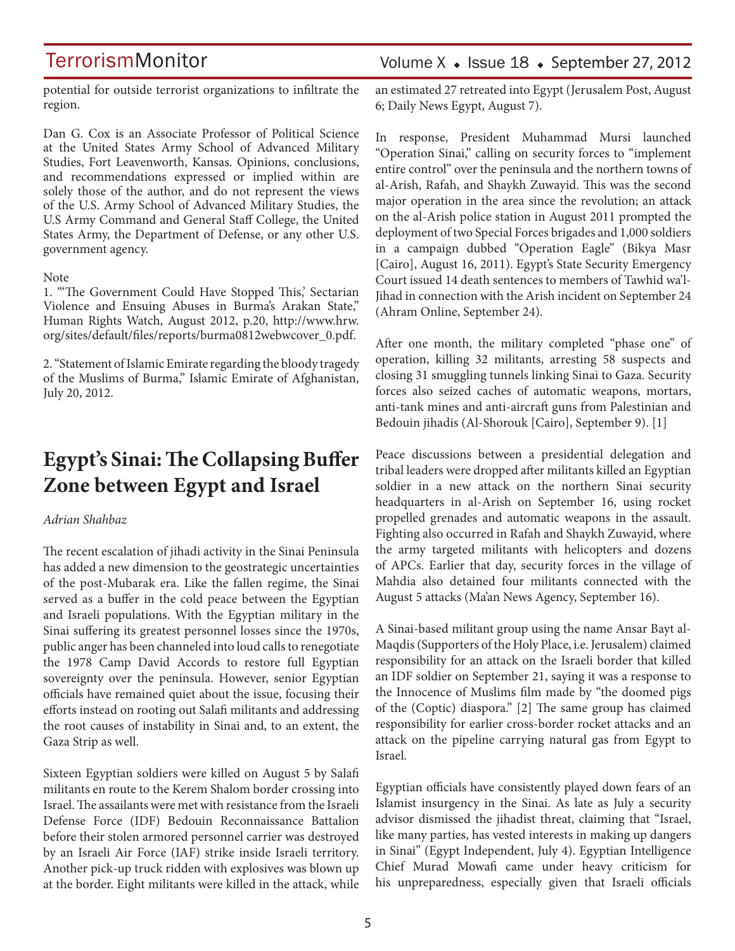potential for outside terrorist organizations to infiltrate the region.

Dan G. Cox is an Associate Professor of Political Science at the United States Army School of Advanced Military Studies, Fort Leavenworth, Kansas. Opinions, conclusions, and recommendations expressed or implied within are solely those of the author, and do not represent the views of the U.S. Army School of Advanced Military Studies, the U.S Army Command and General Staff College, the United States Army, the Department of Defense, or any other U.S. government agency.

#### Note

1. "'The Government Could Have Stopped This,' Sectarian Violence and Ensuing Abuses in Burma's Arakan State," Human Rights Watch, August 2012, p.20, http://www.hrw. org/sites/default/files/reports/burma0812webwcover\_0.pdf.

2. "Statement of Islamic Emirate regarding the bloody tragedy of the Muslims of Burma," Islamic Emirate of Afghanistan, July 20, 2012.

## **Egypt's Sinai: The Collapsing Buffer Zone between Egypt and Israel**

#### *Adrian Shahbaz*

The recent escalation of jihadi activity in the Sinai Peninsula has added a new dimension to the geostrategic uncertainties of the post-Mubarak era. Like the fallen regime, the Sinai served as a buffer in the cold peace between the Egyptian and Israeli populations. With the Egyptian military in the Sinai suffering its greatest personnel losses since the 1970s, public anger has been channeled into loud calls to renegotiate the 1978 Camp David Accords to restore full Egyptian sovereignty over the peninsula. However, senior Egyptian officials have remained quiet about the issue, focusing their efforts instead on rooting out Salafi militants and addressing the root causes of instability in Sinai and, to an extent, the Gaza Strip as well.

Sixteen Egyptian soldiers were killed on August 5 by Salafi militants en route to the Kerem Shalom border crossing into Israel. The assailants were met with resistance from the Israeli Defense Force (IDF) Bedouin Reconnaissance Battalion before their stolen armored personnel carrier was destroyed by an Israeli Air Force (IAF) strike inside Israeli territory. Another pick-up truck ridden with explosives was blown up at the border. Eight militants were killed in the attack, while

## Volume  $X \triangleleft$  Issue 18  $\triangleleft$  September 27, 2012

an estimated 27 retreated into Egypt (Jerusalem Post, August 6; Daily News Egypt, August 7).

In response, President Muhammad Mursi launched "Operation Sinai," calling on security forces to "implement entire control" over the peninsula and the northern towns of al-Arish, Rafah, and Shaykh Zuwayid. This was the second major operation in the area since the revolution; an attack on the al-Arish police station in August 2011 prompted the deployment of two Special Forces brigades and 1,000 soldiers in a campaign dubbed "Operation Eagle" (Bikya Masr [Cairo], August 16, 2011). Egypt's State Security Emergency Court issued 14 death sentences to members of Tawhid wa'l-Jihad in connection with the Arish incident on September 24 (Ahram Online, September 24).

After one month, the military completed "phase one" of operation, killing 32 militants, arresting 58 suspects and closing 31 smuggling tunnels linking Sinai to Gaza. Security forces also seized caches of automatic weapons, mortars, anti-tank mines and anti-aircraft guns from Palestinian and Bedouin jihadis (Al-Shorouk [Cairo], September 9). [1]

Peace discussions between a presidential delegation and tribal leaders were dropped after militants killed an Egyptian soldier in a new attack on the northern Sinai security headquarters in al-Arish on September 16, using rocket propelled grenades and automatic weapons in the assault. Fighting also occurred in Rafah and Shaykh Zuwayid, where the army targeted militants with helicopters and dozens of APCs. Earlier that day, security forces in the village of Mahdia also detained four militants connected with the August 5 attacks (Ma'an News Agency, September 16).

A Sinai-based militant group using the name Ansar Bayt al-Maqdis (Supporters of the Holy Place, i.e. Jerusalem) claimed responsibility for an attack on the Israeli border that killed an IDF soldier on September 21, saying it was a response to the Innocence of Muslims film made by "the doomed pigs of the (Coptic) diaspora." [2] The same group has claimed responsibility for earlier cross-border rocket attacks and an attack on the pipeline carrying natural gas from Egypt to Israel.

Egyptian officials have consistently played down fears of an Islamist insurgency in the Sinai. As late as July a security advisor dismissed the jihadist threat, claiming that "Israel, like many parties, has vested interests in making up dangers in Sinai" (Egypt Independent, July 4). Egyptian Intelligence Chief Murad Mowafi came under heavy criticism for his unpreparedness, especially given that Israeli officials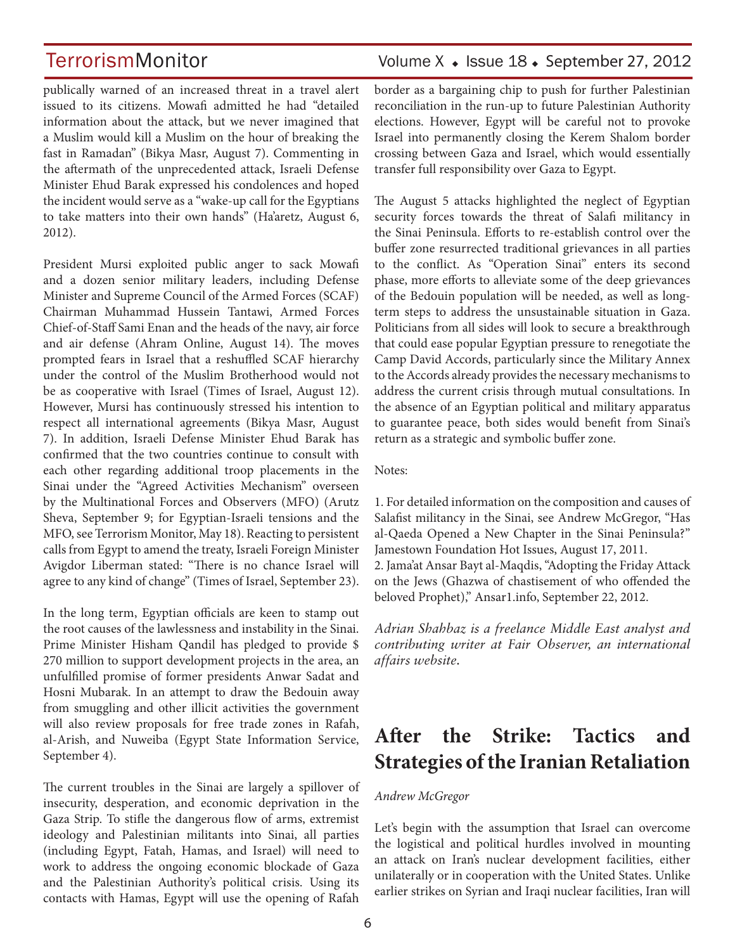publically warned of an increased threat in a travel alert issued to its citizens. Mowafi admitted he had "detailed information about the attack, but we never imagined that a Muslim would kill a Muslim on the hour of breaking the fast in Ramadan" (Bikya Masr, August 7). Commenting in the aftermath of the unprecedented attack, Israeli Defense Minister Ehud Barak expressed his condolences and hoped the incident would serve as a "wake-up call for the Egyptians to take matters into their own hands" (Ha'aretz, August 6, 2012).

President Mursi exploited public anger to sack Mowafi and a dozen senior military leaders, including Defense Minister and Supreme Council of the Armed Forces (SCAF) Chairman Muhammad Hussein Tantawi, Armed Forces Chief-of-Staff Sami Enan and the heads of the navy, air force and air defense (Ahram Online, August 14). The moves prompted fears in Israel that a reshuffled SCAF hierarchy under the control of the Muslim Brotherhood would not be as cooperative with Israel (Times of Israel, August 12). However, Mursi has continuously stressed his intention to respect all international agreements (Bikya Masr, August 7). In addition, Israeli Defense Minister Ehud Barak has confirmed that the two countries continue to consult with each other regarding additional troop placements in the Sinai under the "Agreed Activities Mechanism" overseen by the Multinational Forces and Observers (MFO) (Arutz Sheva, September 9; for Egyptian-Israeli tensions and the MFO, see Terrorism Monitor, May 18). Reacting to persistent calls from Egypt to amend the treaty, Israeli Foreign Minister Avigdor Liberman stated: "There is no chance Israel will agree to any kind of change" (Times of Israel, September 23).

In the long term, Egyptian officials are keen to stamp out the root causes of the lawlessness and instability in the Sinai. Prime Minister Hisham Qandil has pledged to provide \$ 270 million to support development projects in the area, an unfulfilled promise of former presidents Anwar Sadat and Hosni Mubarak. In an attempt to draw the Bedouin away from smuggling and other illicit activities the government will also review proposals for free trade zones in Rafah, al-Arish, and Nuweiba (Egypt State Information Service, September 4).

The current troubles in the Sinai are largely a spillover of insecurity, desperation, and economic deprivation in the Gaza Strip. To stifle the dangerous flow of arms, extremist ideology and Palestinian militants into Sinai, all parties (including Egypt, Fatah, Hamas, and Israel) will need to work to address the ongoing economic blockade of Gaza and the Palestinian Authority's political crisis. Using its contacts with Hamas, Egypt will use the opening of Rafah

## TerrorismMonitor Volume X + Issue 18 + September 27, 2012

border as a bargaining chip to push for further Palestinian reconciliation in the run-up to future Palestinian Authority elections. However, Egypt will be careful not to provoke Israel into permanently closing the Kerem Shalom border crossing between Gaza and Israel, which would essentially transfer full responsibility over Gaza to Egypt.

The August 5 attacks highlighted the neglect of Egyptian security forces towards the threat of Salafi militancy in the Sinai Peninsula. Efforts to re-establish control over the buffer zone resurrected traditional grievances in all parties to the conflict. As "Operation Sinai" enters its second phase, more efforts to alleviate some of the deep grievances of the Bedouin population will be needed, as well as longterm steps to address the unsustainable situation in Gaza. Politicians from all sides will look to secure a breakthrough that could ease popular Egyptian pressure to renegotiate the Camp David Accords, particularly since the Military Annex to the Accords already provides the necessary mechanisms to address the current crisis through mutual consultations. In the absence of an Egyptian political and military apparatus to guarantee peace, both sides would benefit from Sinai's return as a strategic and symbolic buffer zone.

#### Notes:

1. For detailed information on the composition and causes of Salafist militancy in the Sinai, see Andrew McGregor, "Has al-Qaeda Opened a New Chapter in the Sinai Peninsula?" Jamestown Foundation Hot Issues, August 17, 2011. 2. Jama'at Ansar Bayt al-Maqdis, "Adopting the Friday Attack

on the Jews (Ghazwa of chastisement of who offended the beloved Prophet)," Ansar1.info, September 22, 2012.

*Adrian Shahbaz is a freelance Middle East analyst and contributing writer at Fair Observer, an international affairs website.*

## **After the Strike: Tactics and Strategies of the Iranian Retaliation**

### *Andrew McGregor*

Let's begin with the assumption that Israel can overcome the logistical and political hurdles involved in mounting an attack on Iran's nuclear development facilities, either unilaterally or in cooperation with the United States. Unlike earlier strikes on Syrian and Iraqi nuclear facilities, Iran will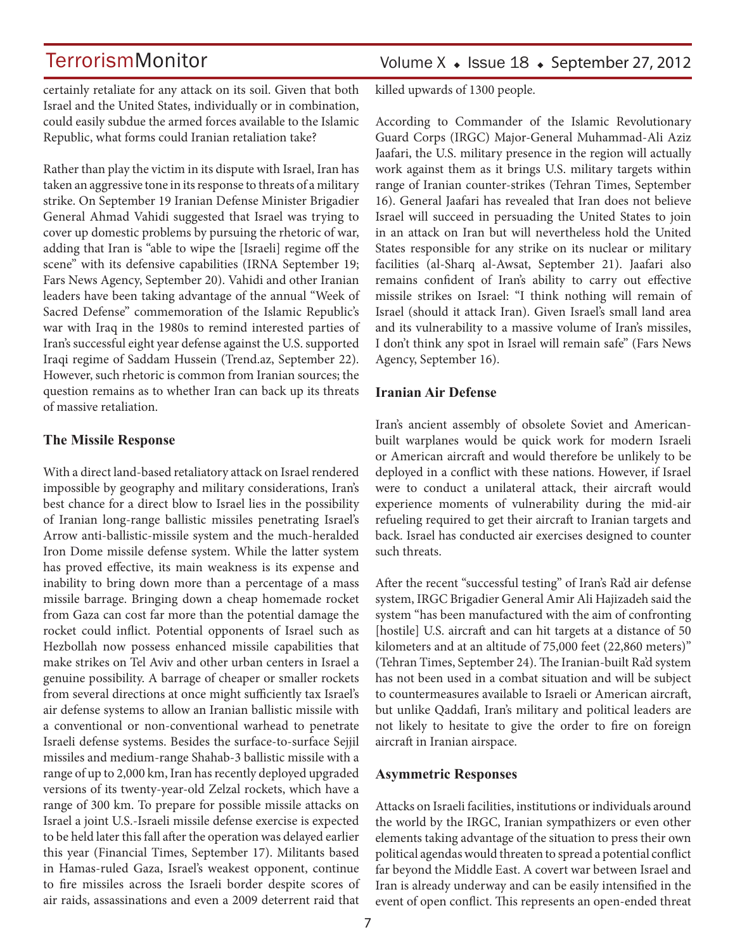certainly retaliate for any attack on its soil. Given that both Israel and the United States, individually or in combination, could easily subdue the armed forces available to the Islamic Republic, what forms could Iranian retaliation take?

Rather than play the victim in its dispute with Israel, Iran has taken an aggressive tone in its response to threats of a military strike. On September 19 Iranian Defense Minister Brigadier General Ahmad Vahidi suggested that Israel was trying to cover up domestic problems by pursuing the rhetoric of war, adding that Iran is "able to wipe the [Israeli] regime off the scene" with its defensive capabilities (IRNA September 19; Fars News Agency, September 20). Vahidi and other Iranian leaders have been taking advantage of the annual "Week of Sacred Defense" commemoration of the Islamic Republic's war with Iraq in the 1980s to remind interested parties of Iran's successful eight year defense against the U.S. supported Iraqi regime of Saddam Hussein (Trend.az, September 22). However, such rhetoric is common from Iranian sources; the question remains as to whether Iran can back up its threats of massive retaliation.

### **The Missile Response**

With a direct land-based retaliatory attack on Israel rendered impossible by geography and military considerations, Iran's best chance for a direct blow to Israel lies in the possibility of Iranian long-range ballistic missiles penetrating Israel's Arrow anti-ballistic-missile system and the much-heralded Iron Dome missile defense system. While the latter system has proved effective, its main weakness is its expense and inability to bring down more than a percentage of a mass missile barrage. Bringing down a cheap homemade rocket from Gaza can cost far more than the potential damage the rocket could inflict. Potential opponents of Israel such as Hezbollah now possess enhanced missile capabilities that make strikes on Tel Aviv and other urban centers in Israel a genuine possibility. A barrage of cheaper or smaller rockets from several directions at once might sufficiently tax Israel's air defense systems to allow an Iranian ballistic missile with a conventional or non-conventional warhead to penetrate Israeli defense systems. Besides the surface-to-surface Sejjil missiles and medium-range Shahab-3 ballistic missile with a range of up to 2,000 km, Iran has recently deployed upgraded versions of its twenty-year-old Zelzal rockets, which have a range of 300 km. To prepare for possible missile attacks on Israel a joint U.S.-Israeli missile defense exercise is expected to be held later this fall after the operation was delayed earlier this year (Financial Times, September 17). Militants based in Hamas-ruled Gaza, Israel's weakest opponent, continue to fire missiles across the Israeli border despite scores of air raids, assassinations and even a 2009 deterrent raid that killed upwards of 1300 people.

According to Commander of the Islamic Revolutionary Guard Corps (IRGC) Major-General Muhammad-Ali Aziz Jaafari, the U.S. military presence in the region will actually work against them as it brings U.S. military targets within range of Iranian counter-strikes (Tehran Times, September 16). General Jaafari has revealed that Iran does not believe Israel will succeed in persuading the United States to join in an attack on Iran but will nevertheless hold the United States responsible for any strike on its nuclear or military facilities (al-Sharq al-Awsat, September 21). Jaafari also remains confident of Iran's ability to carry out effective missile strikes on Israel: "I think nothing will remain of Israel (should it attack Iran). Given Israel's small land area and its vulnerability to a massive volume of Iran's missiles, I don't think any spot in Israel will remain safe" (Fars News Agency, September 16).

### **Iranian Air Defense**

Iran's ancient assembly of obsolete Soviet and Americanbuilt warplanes would be quick work for modern Israeli or American aircraft and would therefore be unlikely to be deployed in a conflict with these nations. However, if Israel were to conduct a unilateral attack, their aircraft would experience moments of vulnerability during the mid-air refueling required to get their aircraft to Iranian targets and back. Israel has conducted air exercises designed to counter such threats.

After the recent "successful testing" of Iran's Ra'd air defense system, IRGC Brigadier General Amir Ali Hajizadeh said the system "has been manufactured with the aim of confronting [hostile] U.S. aircraft and can hit targets at a distance of 50 kilometers and at an altitude of 75,000 feet (22,860 meters)" (Tehran Times, September 24). The Iranian-built Ra'd system has not been used in a combat situation and will be subject to countermeasures available to Israeli or American aircraft, but unlike Qaddafi, Iran's military and political leaders are not likely to hesitate to give the order to fire on foreign aircraft in Iranian airspace.

### **Asymmetric Responses**

Attacks on Israeli facilities, institutions or individuals around the world by the IRGC, Iranian sympathizers or even other elements taking advantage of the situation to press their own political agendas would threaten to spread a potential conflict far beyond the Middle East. A covert war between Israel and Iran is already underway and can be easily intensified in the event of open conflict. This represents an open-ended threat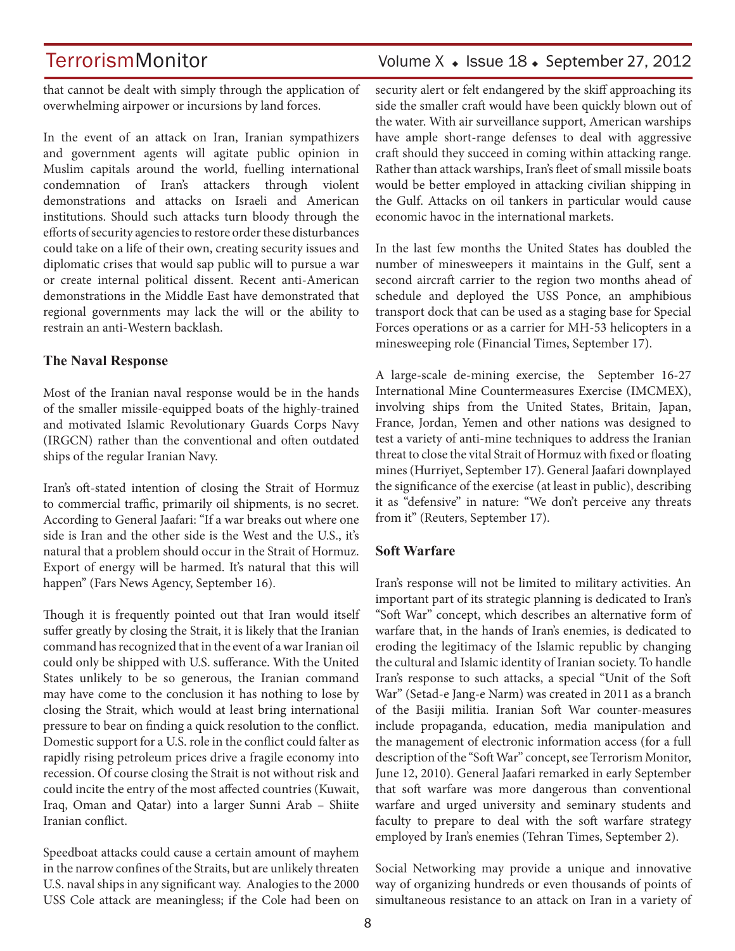## TerrorismMonitor Volume X + Issue 18 + September 27, 2012

that cannot be dealt with simply through the application of overwhelming airpower or incursions by land forces.

In the event of an attack on Iran, Iranian sympathizers and government agents will agitate public opinion in Muslim capitals around the world, fuelling international condemnation of Iran's attackers through violent demonstrations and attacks on Israeli and American institutions. Should such attacks turn bloody through the efforts of security agencies to restore order these disturbances could take on a life of their own, creating security issues and diplomatic crises that would sap public will to pursue a war or create internal political dissent. Recent anti-American demonstrations in the Middle East have demonstrated that regional governments may lack the will or the ability to restrain an anti-Western backlash.

### **The Naval Response**

Most of the Iranian naval response would be in the hands of the smaller missile-equipped boats of the highly-trained and motivated Islamic Revolutionary Guards Corps Navy (IRGCN) rather than the conventional and often outdated ships of the regular Iranian Navy.

Iran's oft-stated intention of closing the Strait of Hormuz to commercial traffic, primarily oil shipments, is no secret. According to General Jaafari: "If a war breaks out where one side is Iran and the other side is the West and the U.S., it's natural that a problem should occur in the Strait of Hormuz. Export of energy will be harmed. It's natural that this will happen" (Fars News Agency, September 16).

Though it is frequently pointed out that Iran would itself suffer greatly by closing the Strait, it is likely that the Iranian command has recognized that in the event of a war Iranian oil could only be shipped with U.S. sufferance. With the United States unlikely to be so generous, the Iranian command may have come to the conclusion it has nothing to lose by closing the Strait, which would at least bring international pressure to bear on finding a quick resolution to the conflict. Domestic support for a U.S. role in the conflict could falter as rapidly rising petroleum prices drive a fragile economy into recession. Of course closing the Strait is not without risk and could incite the entry of the most affected countries (Kuwait, Iraq, Oman and Qatar) into a larger Sunni Arab – Shiite Iranian conflict.

Speedboat attacks could cause a certain amount of mayhem in the narrow confines of the Straits, but are unlikely threaten U.S. naval ships in any significant way. Analogies to the 2000 USS Cole attack are meaningless; if the Cole had been on security alert or felt endangered by the skiff approaching its side the smaller craft would have been quickly blown out of the water. With air surveillance support, American warships have ample short-range defenses to deal with aggressive craft should they succeed in coming within attacking range. Rather than attack warships, Iran's fleet of small missile boats would be better employed in attacking civilian shipping in the Gulf. Attacks on oil tankers in particular would cause economic havoc in the international markets.

In the last few months the United States has doubled the number of minesweepers it maintains in the Gulf, sent a second aircraft carrier to the region two months ahead of schedule and deployed the USS Ponce, an amphibious transport dock that can be used as a staging base for Special Forces operations or as a carrier for MH-53 helicopters in a minesweeping role (Financial Times, September 17).

A large-scale de-mining exercise, the September 16-27 International Mine Countermeasures Exercise (IMCMEX), involving ships from the United States, Britain, Japan, France, Jordan, Yemen and other nations was designed to test a variety of anti-mine techniques to address the Iranian threat to close the vital Strait of Hormuz with fixed or floating mines (Hurriyet, September 17). General Jaafari downplayed the significance of the exercise (at least in public), describing it as "defensive" in nature: "We don't perceive any threats from it" (Reuters, September 17).

### **Soft Warfare**

Iran's response will not be limited to military activities. An important part of its strategic planning is dedicated to Iran's "Soft War" concept, which describes an alternative form of warfare that, in the hands of Iran's enemies, is dedicated to eroding the legitimacy of the Islamic republic by changing the cultural and Islamic identity of Iranian society. To handle Iran's response to such attacks, a special "Unit of the Soft War" (Setad-e Jang-e Narm) was created in 2011 as a branch of the Basiji militia. Iranian Soft War counter-measures include propaganda, education, media manipulation and the management of electronic information access (for a full description of the "Soft War" concept, see Terrorism Monitor, June 12, 2010). General Jaafari remarked in early September that soft warfare was more dangerous than conventional warfare and urged university and seminary students and faculty to prepare to deal with the soft warfare strategy employed by Iran's enemies (Tehran Times, September 2).

Social Networking may provide a unique and innovative way of organizing hundreds or even thousands of points of simultaneous resistance to an attack on Iran in a variety of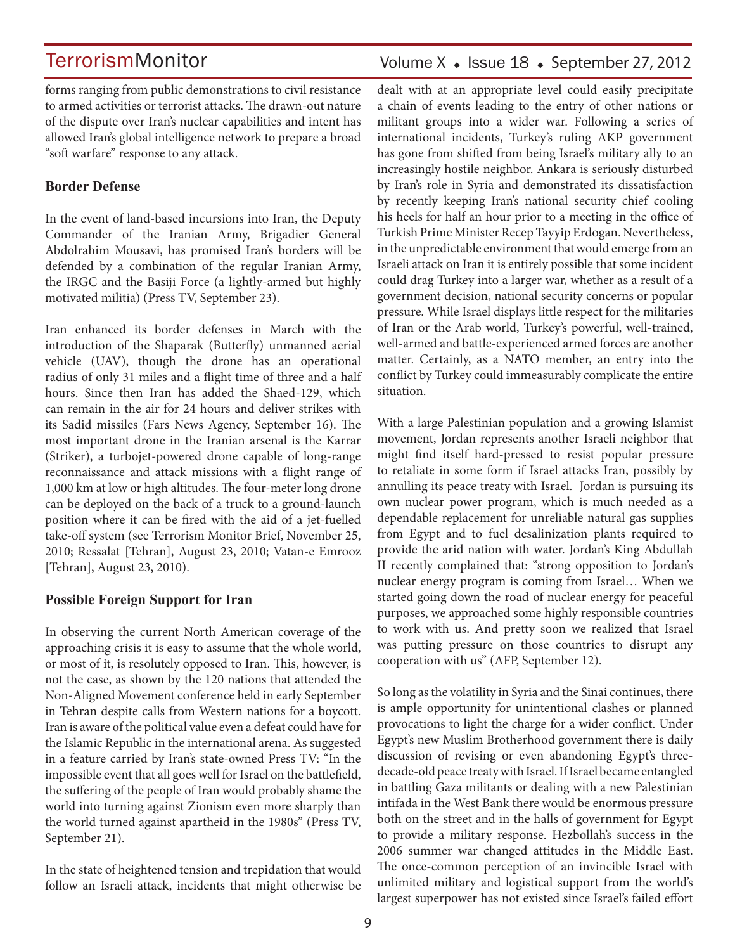Volume  $X \triangleleft$  Issue 18  $\triangleleft$  September 27, 2012

forms ranging from public demonstrations to civil resistance to armed activities or terrorist attacks. The drawn-out nature of the dispute over Iran's nuclear capabilities and intent has allowed Iran's global intelligence network to prepare a broad "soft warfare" response to any attack.

## **Border Defense**

In the event of land-based incursions into Iran, the Deputy Commander of the Iranian Army, Brigadier General Abdolrahim Mousavi, has promised Iran's borders will be defended by a combination of the regular Iranian Army, the IRGC and the Basiji Force (a lightly-armed but highly motivated militia) (Press TV, September 23).

Iran enhanced its border defenses in March with the introduction of the Shaparak (Butterfly) unmanned aerial vehicle (UAV), though the drone has an operational radius of only 31 miles and a flight time of three and a half hours. Since then Iran has added the Shaed-129, which can remain in the air for 24 hours and deliver strikes with its Sadid missiles (Fars News Agency, September 16). The most important drone in the Iranian arsenal is the Karrar (Striker), a turbojet-powered drone capable of long-range reconnaissance and attack missions with a flight range of 1,000 km at low or high altitudes. The four-meter long drone can be deployed on the back of a truck to a ground-launch position where it can be fired with the aid of a jet-fuelled take-off system (see Terrorism Monitor Brief, November 25, 2010; Ressalat [Tehran], August 23, 2010; Vatan-e Emrooz [Tehran], August 23, 2010).

## **Possible Foreign Support for Iran**

In observing the current North American coverage of the approaching crisis it is easy to assume that the whole world, or most of it, is resolutely opposed to Iran. This, however, is not the case, as shown by the 120 nations that attended the Non-Aligned Movement conference held in early September in Tehran despite calls from Western nations for a boycott. Iran is aware of the political value even a defeat could have for the Islamic Republic in the international arena. As suggested in a feature carried by Iran's state-owned Press TV: "In the impossible event that all goes well for Israel on the battlefield, the suffering of the people of Iran would probably shame the world into turning against Zionism even more sharply than the world turned against apartheid in the 1980s" (Press TV, September 21).

In the state of heightened tension and trepidation that would follow an Israeli attack, incidents that might otherwise be dealt with at an appropriate level could easily precipitate a chain of events leading to the entry of other nations or militant groups into a wider war. Following a series of international incidents, Turkey's ruling AKP government has gone from shifted from being Israel's military ally to an increasingly hostile neighbor. Ankara is seriously disturbed by Iran's role in Syria and demonstrated its dissatisfaction by recently keeping Iran's national security chief cooling his heels for half an hour prior to a meeting in the office of Turkish Prime Minister Recep Tayyip Erdogan. Nevertheless, in the unpredictable environment that would emerge from an Israeli attack on Iran it is entirely possible that some incident could drag Turkey into a larger war, whether as a result of a government decision, national security concerns or popular pressure. While Israel displays little respect for the militaries of Iran or the Arab world, Turkey's powerful, well-trained, well-armed and battle-experienced armed forces are another matter. Certainly, as a NATO member, an entry into the conflict by Turkey could immeasurably complicate the entire situation.

With a large Palestinian population and a growing Islamist movement, Jordan represents another Israeli neighbor that might find itself hard-pressed to resist popular pressure to retaliate in some form if Israel attacks Iran, possibly by annulling its peace treaty with Israel. Jordan is pursuing its own nuclear power program, which is much needed as a dependable replacement for unreliable natural gas supplies from Egypt and to fuel desalinization plants required to provide the arid nation with water. Jordan's King Abdullah II recently complained that: "strong opposition to Jordan's nuclear energy program is coming from Israel… When we started going down the road of nuclear energy for peaceful purposes, we approached some highly responsible countries to work with us. And pretty soon we realized that Israel was putting pressure on those countries to disrupt any cooperation with us" (AFP, September 12).

So long as the volatility in Syria and the Sinai continues, there is ample opportunity for unintentional clashes or planned provocations to light the charge for a wider conflict. Under Egypt's new Muslim Brotherhood government there is daily discussion of revising or even abandoning Egypt's threedecade-old peace treaty with Israel. If Israel became entangled in battling Gaza militants or dealing with a new Palestinian intifada in the West Bank there would be enormous pressure both on the street and in the halls of government for Egypt to provide a military response. Hezbollah's success in the 2006 summer war changed attitudes in the Middle East. The once-common perception of an invincible Israel with unlimited military and logistical support from the world's largest superpower has not existed since Israel's failed effort